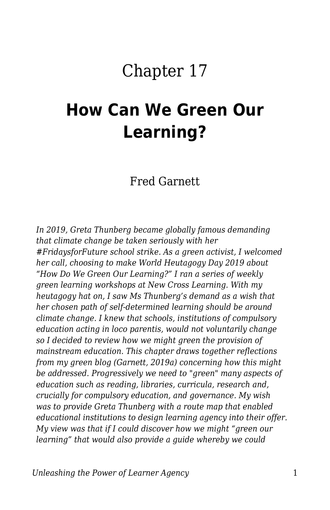# Chapter 17

# **How Can We Green Our Learning?**

Fred Garnett

*In 2019, Greta Thunberg became globally famous demanding that climate change be taken seriously with her #FridaysforFuture school strike. As a green activist, I welcomed her call, choosing to make World Heutagogy Day 2019 about "How Do We Green Our Learning?" I ran a series of weekly green learning workshops at New Cross Learning. With my heutagogy hat on, I saw Ms Thunberg's demand as a wish that her chosen path of self-determined learning should be around climate change. I knew that schools, institutions of compulsory education acting in loco parentis, would not voluntarily change so I decided to review how we might green the provision of mainstream education. This chapter draws together reflections from my green blog (Garnett, 2019a) concerning how this might be addressed. Progressively we need to "green" many aspects of education such as reading, libraries, curricula, research and, crucially for compulsory education, and governance. My wish was to provide Greta Thunberg with a route map that enabled educational institutions to design learning agency into their offer. My view was that if I could discover how we might "green our learning" that would also provide a guide whereby we could*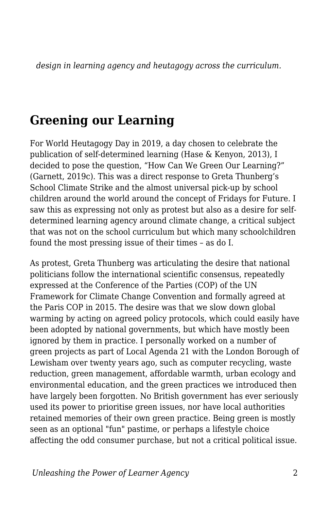*design in learning agency and heutagogy across the curriculum.*

#### **Greening our Learning**

For World Heutagogy Day in 2019, a day chosen to celebrate the publication of self-determined learning (Hase & Kenyon, 2013), I decided to pose the question, "How Can We Green Our Learning?" (Garnett, 2019c). This was a direct response to Greta Thunberg's School Climate Strike and the almost universal pick-up by school children around the world around the concept of Fridays for Future. I saw this as expressing not only as protest but also as a desire for selfdetermined learning agency around climate change, a critical subject that was not on the school curriculum but which many schoolchildren found the most pressing issue of their times – as do I.

As protest, Greta Thunberg was articulating the desire that national politicians follow the international scientific consensus, repeatedly expressed at the Conference of the Parties (COP) of the UN Framework for Climate Change Convention and formally agreed at the Paris COP in 2015. The desire was that we slow down global warming by acting on agreed policy protocols, which could easily have been adopted by national governments, but which have mostly been ignored by them in practice. I personally worked on a number of green projects as part of Local Agenda 21 with the London Borough of Lewisham over twenty years ago, such as computer recycling, waste reduction, green management, affordable warmth, urban ecology and environmental education, and the green practices we introduced then have largely been forgotten. No British government has ever seriously used its power to prioritise green issues, nor have local authorities retained memories of their own green practice. Being green is mostly seen as an optional "fun" pastime, or perhaps a lifestyle choice affecting the odd consumer purchase, but not a critical political issue.

*Unleashing the Power of Learner Agency* 2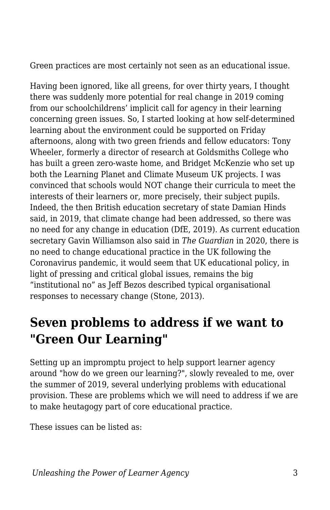Green practices are most certainly not seen as an educational issue.

Having been ignored, like all greens, for over thirty years, I thought there was suddenly more potential for real change in 2019 coming from our schoolchildrens' implicit call for agency in their learning concerning green issues. So, I started looking at how self-determined learning about the environment could be supported on Friday afternoons, along with two green friends and fellow educators: Tony Wheeler, formerly a director of research at Goldsmiths College who has built a green zero-waste home, and Bridget McKenzie who set up both the Learning Planet and Climate Museum UK projects. I was convinced that schools would NOT change their curricula to meet the interests of their learners or, more precisely, their subject pupils. Indeed, the then British education secretary of state Damian Hinds said, in 2019, that climate change had been addressed, so there was no need for any change in education (DfE, 2019). As current education secretary Gavin Williamson also said in *The Guardian* in 2020, there is no need to change educational practice in the UK following the Coronavirus pandemic, it would seem that UK educational policy, in light of pressing and critical global issues, remains the big "institutional no" as Jeff Bezos described typical organisational responses to necessary change (Stone, 2013).

## **Seven problems to address if we want to "Green Our Learning"**

Setting up an impromptu project to help support learner agency around "how do we green our learning?", slowly revealed to me, over the summer of 2019, several underlying problems with educational provision. These are problems which we will need to address if we are to make heutagogy part of core educational practice.

These issues can be listed as: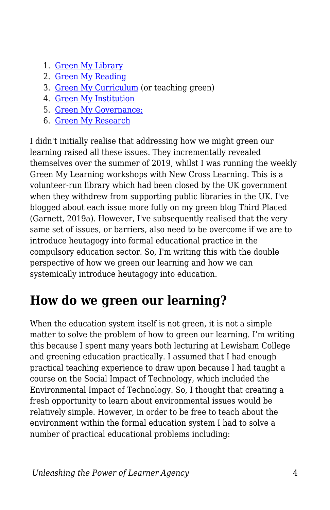- 1. [Green My Library](https://thirdplaced.wordpress.com/2019/07/08/green-my-library/)
- 2. [Green My Reading](https://thirdplaced.wordpress.com/2019/07/16/green-my-reading/)
- 3. [Green My Curriculum](https://thirdplaced.wordpress.com/2019/07/03/green-my-learning/) (or teaching green)
- 4. [Green My Institution](https://thirdplaced.wordpress.com/2019/08/28/green-my-institution/)
- 5. [Green My Governance;](https://thirdplaced.wordpress.com/2019/08/28/green-my-institution/)
- 6. [Green My Research](https://heutagogicarchive.wordpress.com/2011/04/14/11-ideas-for-research-social-justice/)

I didn't initially realise that addressing how we might green our learning raised all these issues. They incrementally revealed themselves over the summer of 2019, whilst I was running the weekly Green My Learning workshops with New Cross Learning. This is a volunteer-run library which had been closed by the UK government when they withdrew from supporting public libraries in the UK. I've blogged about each issue more fully on my green blog Third Placed (Garnett, 2019a). However, I've subsequently realised that the very same set of issues, or barriers, also need to be overcome if we are to introduce heutagogy into formal educational practice in the compulsory education sector. So, I'm writing this with the double perspective of how we green our learning and how we can systemically introduce heutagogy into education.

# **How do we green our learning?**

When the education system itself is not green, it is not a simple matter to solve the problem of how to green our learning. I'm writing this because I spent many years both lecturing at Lewisham College and greening education practically. I assumed that I had enough practical teaching experience to draw upon because I had taught a course on the Social Impact of Technology, which included the Environmental Impact of Technology. So, I thought that creating a fresh opportunity to learn about environmental issues would be relatively simple. However, in order to be free to teach about the environment within the formal education system I had to solve a number of practical educational problems including: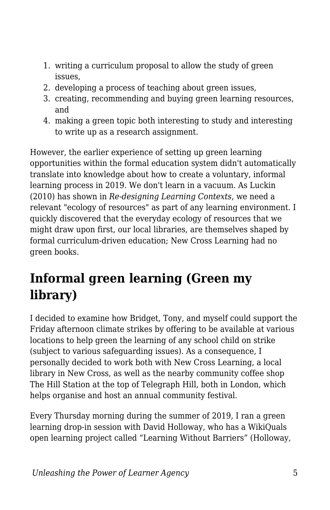- 1. writing a curriculum proposal to allow the study of green issues,
- 2. developing a process of teaching about green issues,
- 3. creating, recommending and buying green learning resources, and
- 4. making a green topic both interesting to study and interesting to write up as a research assignment.

However, the earlier experience of setting up green learning opportunities within the formal education system didn't automatically translate into knowledge about how to create a voluntary, informal learning process in 2019. We don't learn in a vacuum. As Luckin (2010) has shown in *Re-designing Learning Contexts*, we need a relevant "ecology of resources" as part of any learning environment. I quickly discovered that the everyday ecology of resources that we might draw upon first, our local libraries, are themselves shaped by formal curriculum-driven education; New Cross Learning had no green books.

# **Informal green learning (Green my library)**

I decided to examine how Bridget, Tony, and myself could support the Friday afternoon climate strikes by offering to be available at various locations to help green the learning of any school child on strike (subject to various safeguarding issues). As a consequence, I personally decided to work both with New Cross Learning, a local library in New Cross, as well as the nearby community coffee shop The Hill Station at the top of Telegraph Hill, both in London, which helps organise and host an annual community festival.

Every Thursday morning during the summer of 2019, I ran a green learning drop-in session with David Holloway, who has a WikiQuals open learning project called "Learning Without Barriers" (Holloway,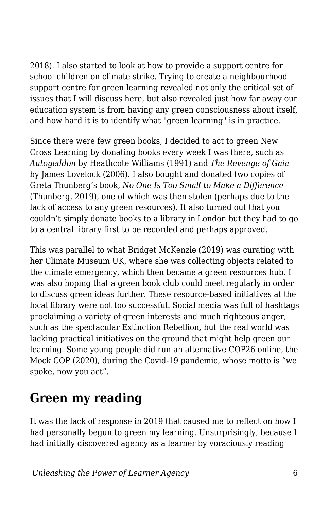2018). I also started to look at how to provide a support centre for school children on climate strike. Trying to create a neighbourhood support centre for green learning revealed not only the critical set of issues that I will discuss here, but also revealed just how far away our education system is from having any green consciousness about itself, and how hard it is to identify what "green learning" is in practice.

Since there were few green books, I decided to act to green New Cross Learning by donating books every week I was there, such as *Autogeddon* by Heathcote Williams (1991) and *The Revenge of Gaia* by James Lovelock (2006). I also bought and donated two copies of Greta Thunberg's book, *No One Is Too Small to Make a Difference* (Thunberg, 2019), one of which was then stolen (perhaps due to the lack of access to any green resources). It also turned out that you couldn't simply donate books to a library in London but they had to go to a central library first to be recorded and perhaps approved.

This was parallel to what Bridget McKenzie (2019) was curating with her Climate Museum UK, where she was collecting objects related to the climate emergency, which then became a green resources hub. I was also hoping that a green book club could meet regularly in order to discuss green ideas further. These resource-based initiatives at the local library were not too successful. Social media was full of hashtags proclaiming a variety of green interests and much righteous anger, such as the spectacular Extinction Rebellion, but the real world was lacking practical initiatives on the ground that might help green our learning. Some young people did run an alternative COP26 online, the Mock COP (2020), during the Covid-19 pandemic, whose motto is "we spoke, now you act".

#### **Green my reading**

It was the lack of response in 2019 that caused me to reflect on how I had personally begun to green my learning. Unsurprisingly, because I had initially discovered agency as a learner by voraciously reading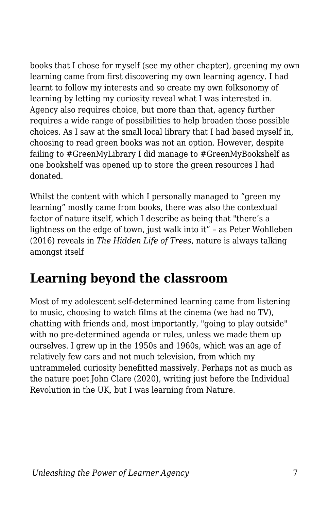books that I chose for myself (see my other chapter), greening my own learning came from first discovering my own learning agency. I had learnt to follow my interests and so create my own folksonomy of learning by letting my curiosity reveal what I was interested in. Agency also requires choice, but more than that, agency further requires a wide range of possibilities to help broaden those possible choices. As I saw at the small local library that I had based myself in, choosing to read green books was not an option. However, despite failing to #GreenMyLibrary I did manage to #GreenMyBookshelf as one bookshelf was opened up to store the green resources I had donated.

Whilst the content with which I personally managed to "green my learning" mostly came from books, there was also the contextual factor of nature itself, which I describe as being that "there's a lightness on the edge of town, just walk into it" – as Peter Wohlleben (2016) reveals in *The Hidden Life of Trees*, nature is always talking amongst itself

## **Learning beyond the classroom**

Most of my adolescent self-determined learning came from listening to music, choosing to watch films at the cinema (we had no TV), chatting with friends and, most importantly, "going to play outside" with no pre-determined agenda or rules, unless we made them up ourselves. I grew up in the 1950s and 1960s, which was an age of relatively few cars and not much television, from which my untrammeled curiosity benefitted massively. Perhaps not as much as the nature poet John Clare (2020), writing just before the Individual Revolution in the UK, but I was learning from Nature.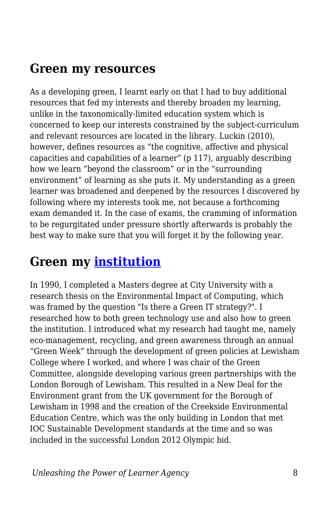#### **Green my resources**

As a developing green, I learnt early on that I had to buy additional resources that fed my interests and thereby broaden my learning, unlike in the taxonomically-limited education system which is concerned to keep our interests constrained by the subject-curriculum and relevant resources are located in the library. Luckin (2010), however, defines resources as "the cognitive, affective and physical capacities and capabilities of a learner" (p 117), arguably describing how we learn "beyond the classroom" or in the "surrounding environment" of learning as she puts it. My understanding as a green learner was broadened and deepened by the resources I discovered by following where my interests took me, not because a forthcoming exam demanded it. In the case of exams, the cramming of information to be regurgitated under pressure shortly afterwards is probably the best way to make sure that you will forget it by the following year.

#### **Green my [institution](https://thirdplaced.wordpress.com/2019/08/28/green-my-institution/)**

In 1990, I completed a Masters degree at City University with a research thesis on the Environmental Impact of Computing, which was framed by the question "Is there a Green IT strategy?". I researched how to both green technology use and also how to green the institution. I introduced what my research had taught me, namely eco-management, recycling, and green awareness through an annual "Green Week" through the development of green policies at Lewisham College where I worked, and where I was chair of the Green Committee, alongside developing various green partnerships with the London Borough of Lewisham. This resulted in a New Deal for the Environment grant from the UK government for the Borough of Lewisham in 1998 and the creation of the Creekside Environmental Education Centre, which was the only building in London that met IOC Sustainable Development standards at the time and so was included in the successful London 2012 Olympic bid.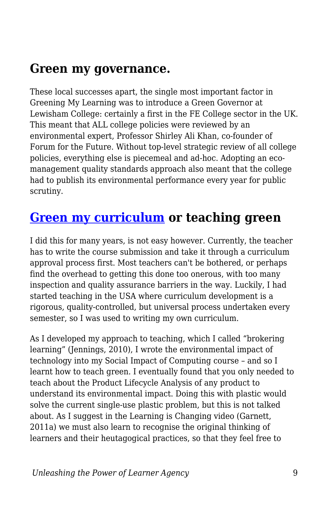#### **Green my governance.**

These local successes apart, the single most important factor in Greening My Learning was to introduce a Green Governor at Lewisham College: certainly a first in the FE College sector in the UK. This meant that ALL college policies were reviewed by an environmental expert, Professor Shirley Ali Khan, co-founder of Forum for the Future. Without top-level strategic review of all college policies, everything else is piecemeal and ad-hoc. Adopting an ecomanagement quality standards approach also meant that the college had to publish its environmental performance every year for public scrutiny.

#### **[Green my curriculum](https://thirdplaced.wordpress.com/2019/07/03/green-my-learning/) or teaching green**

I did this for many years, is not easy however. Currently, the teacher has to write the course submission and take it through a curriculum approval process first. Most teachers can't be bothered, or perhaps find the overhead to getting this done too onerous, with too many inspection and quality assurance barriers in the way. Luckily, I had started teaching in the USA where curriculum development is a rigorous, quality-controlled, but universal process undertaken every semester, so I was used to writing my own curriculum.

As I developed my approach to teaching, which I called "brokering learning" (Jennings, 2010), I wrote the environmental impact of technology into my Social Impact of Computing course – and so I learnt how to teach green. I eventually found that you only needed to teach about the Product Lifecycle Analysis of any product to understand its environmental impact. Doing this with plastic would solve the current single-use plastic problem, but this is not talked about. As I suggest in the Learning is Changing video (Garnett, 2011a) we must also learn to recognise the original thinking of learners and their heutagogical practices, so that they feel free to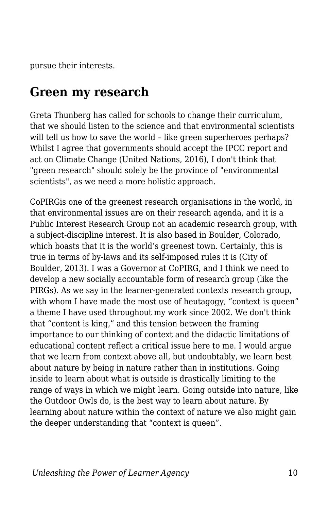pursue their interests.

#### **Green my research**

Greta Thunberg has called for schools to change their curriculum, that we should listen to the science and that environmental scientists will tell us how to save the world - like green superheroes perhaps? Whilst I agree that governments should accept the IPCC report and act on Climate Change (United Nations, 2016), I don't think that "green research" should solely be the province of "environmental scientists", as we need a more holistic approach.

CoPIRGis one of the greenest research organisations in the world, in that environmental issues are on their research agenda, and it is a Public Interest Research Group not an academic research group, with a subject-discipline interest. It is also based in Boulder, Colorado, which boasts that it is the world's greenest town. Certainly, this is true in terms of by-laws and its self-imposed rules it is (City of Boulder, 2013). I was a Governor at CoPIRG, and I think we need to develop a new socially accountable form of research group (like the PIRGs). As we say in the learner-generated contexts research group, with whom I have made the most use of heutagogy, "context is queen" a theme I have used throughout my work since 2002. We don't think that "content is king," and this tension between the framing importance to our thinking of context and the didactic limitations of educational content reflect a critical issue here to me. I would argue that we learn from context above all, but undoubtably, we learn best about nature by being in nature rather than in institutions. Going inside to learn about what is outside is drastically limiting to the range of ways in which we might learn. Going outside into nature, like the Outdoor Owls do, is the best way to learn about nature. By learning about nature within the context of nature we also might gain the deeper understanding that "context is queen".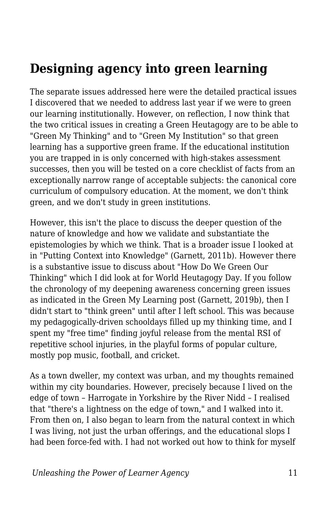## **Designing agency into green learning**

The separate issues addressed here were the detailed practical issues I discovered that we needed to address last year if we were to green our learning institutionally. However, on reflection, I now think that the two critical issues in creating a Green Heutagogy are to be able to "Green My Thinking" and to "Green My Institution" so that green learning has a supportive green frame. If the educational institution you are trapped in is only concerned with high-stakes assessment successes, then you will be tested on a core checklist of facts from an exceptionally narrow range of acceptable subjects: the canonical core curriculum of compulsory education. At the moment, we don't think green, and we don't study in green institutions.

However, this isn't the place to discuss the deeper question of the nature of knowledge and how we validate and substantiate the epistemologies by which we think. That is a broader issue I looked at in "Putting Context into Knowledge" (Garnett, 2011b). However there is a substantive issue to discuss about "How Do We Green Our Thinking" which I did look at for World Heutagogy Day. If you follow the chronology of my deepening awareness concerning green issues as indicated in the Green My Learning post (Garnett, 2019b), then I didn't start to "think green" until after I left school. This was because my pedagogically-driven schooldays filled up my thinking time, and I spent my "free time" finding joyful release from the mental RSI of repetitive school injuries, in the playful forms of popular culture, mostly pop music, football, and cricket.

As a town dweller, my context was urban, and my thoughts remained within my city boundaries. However, precisely because I lived on the edge of town – Harrogate in Yorkshire by the River Nidd – I realised that "there's a lightness on the edge of town," and I walked into it. From then on, I also began to learn from the natural context in which I was living, not just the urban offerings, and the educational slops I had been force-fed with. I had not worked out how to think for myself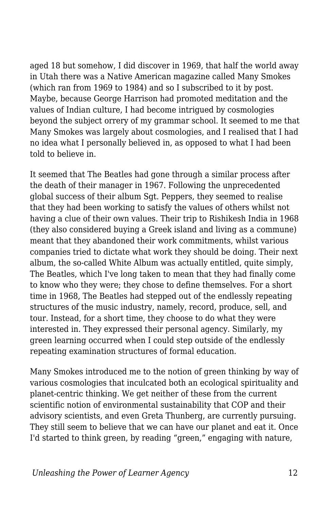aged 18 but somehow, I did discover in 1969, that half the world away in Utah there was a Native American magazine called Many Smokes (which ran from 1969 to 1984) and so I subscribed to it by post. Maybe, because George Harrison had promoted meditation and the values of Indian culture, I had become intrigued by cosmologies beyond the subject orrery of my grammar school. It seemed to me that Many Smokes was largely about cosmologies, and I realised that I had no idea what I personally believed in, as opposed to what I had been told to believe in.

It seemed that The Beatles had gone through a similar process after the death of their manager in 1967. Following the unprecedented global success of their album Sgt. Peppers, they seemed to realise that they had been working to satisfy the values of others whilst not having a clue of their own values. Their trip to Rishikesh India in 1968 (they also considered buying a Greek island and living as a commune) meant that they abandoned their work commitments, whilst various companies tried to dictate what work they should be doing. Their next album, the so-called White Album was actually entitled, quite simply, The Beatles, which I've long taken to mean that they had finally come to know who they were; they chose to define themselves. For a short time in 1968, The Beatles had stepped out of the endlessly repeating structures of the music industry, namely, record, produce, sell, and tour. Instead, for a short time, they choose to do what they were interested in. They expressed their personal agency. Similarly, my green learning occurred when I could step outside of the endlessly repeating examination structures of formal education.

Many Smokes introduced me to the notion of green thinking by way of various cosmologies that inculcated both an ecological spirituality and planet-centric thinking. We get neither of these from the current scientific notion of environmental sustainability that COP and their advisory scientists, and even Greta Thunberg, are currently pursuing. They still seem to believe that we can have our planet and eat it. Once I'd started to think green, by reading "green," engaging with nature,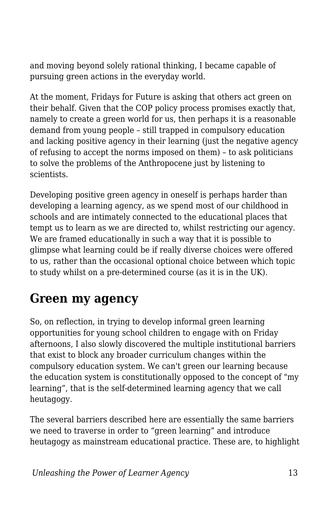and moving beyond solely rational thinking, I became capable of pursuing green actions in the everyday world.

At the moment, Fridays for Future is asking that others act green on their behalf. Given that the COP policy process promises exactly that, namely to create a green world for us, then perhaps it is a reasonable demand from young people – still trapped in compulsory education and lacking positive agency in their learning (just the negative agency of refusing to accept the norms imposed on them) – to ask politicians to solve the problems of the Anthropocene just by listening to scientists.

Developing positive green agency in oneself is perhaps harder than developing a learning agency, as we spend most of our childhood in schools and are intimately connected to the educational places that tempt us to learn as we are directed to, whilst restricting our agency. We are framed educationally in such a way that it is possible to glimpse what learning could be if really diverse choices were offered to us, rather than the occasional optional choice between which topic to study whilst on a pre-determined course (as it is in the UK).

## **Green my agency**

So, on reflection, in trying to develop informal green learning opportunities for young school children to engage with on Friday afternoons, I also slowly discovered the multiple institutional barriers that exist to block any broader curriculum changes within the compulsory education system. We can't green our learning because the education system is constitutionally opposed to the concept of "my learning", that is the self-determined learning agency that we call heutagogy.

The several barriers described here are essentially the same barriers we need to traverse in order to "green learning" and introduce heutagogy as mainstream educational practice. These are, to highlight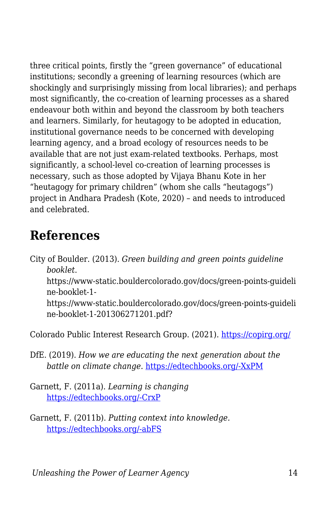three critical points, firstly the "green governance" of educational institutions; secondly a greening of learning resources (which are shockingly and surprisingly missing from local libraries); and perhaps most significantly, the co-creation of learning processes as a shared endeavour both within and beyond the classroom by both teachers and learners. Similarly, for heutagogy to be adopted in education, institutional governance needs to be concerned with developing learning agency, and a broad ecology of resources needs to be available that are not just exam-related textbooks. Perhaps, most significantly, a school-level co-creation of learning processes is necessary, such as those adopted by Vijaya Bhanu Kote in her "heutagogy for primary children" (whom she calls "heutagogs") project in Andhara Pradesh (Kote, 2020) – and needs to introduced and celebrated.

#### **References**

City of Boulder. (2013). *Green building and green points guideline booklet*. https://www-static.bouldercolorado.gov/docs/green-points-guideli ne-booklet-1 https://www-static.bouldercolorado.gov/docs/green-points-guideli ne-booklet-1-201306271201.pdf?

Colorado Public Interest Research Group. (2021). <https://copirg.org/>

- DfE. (2019). *How we are educating the next generation about the battle on climate change.* [https://edtechbooks.org/-XxPM](https://dfemedia.blog.gov.uk/2019/05/24/how-we-are-educating-the-next-generation-about-the-battle-on-climate-change/)
- Garnett, F. (2011a). *Learning is changing* [https://edtechbooks.org/-CrxP](https://www.youtube.com/watch?v=y9HCK3wKmD0)
- Garnett, F. (2011b). *Putting context into knowledge.* [https://edtechbooks.org/-abFS](https://www2.slideshare.net/fredgarnett/putting-context-into-knowledge)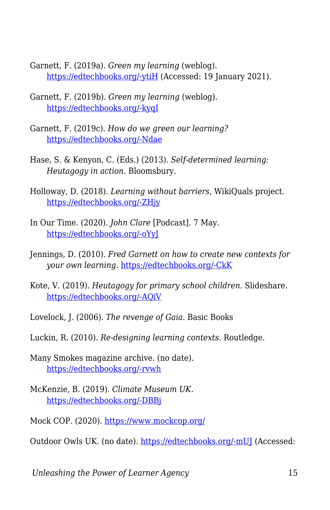- Garnett, F. (2019a). *Green my learning* (weblog). [https://edtechbooks.org/-ytiH](https://thirdplaced.wordpress.com/2019/09/19/greenmylearning/) (Accessed: 19 January 2021).
- Garnett, F. (2019b). *Green my learning* (weblog). [https://edtechbooks.org/-kyqI](https://www2.slideshare.net/fredgarnett/green-my-learning)
- Garnett, F. (2019c). *How do we green our learning?* [https://edtechbooks.org/-Ndae](https://www.slideshare.net/fredgarnett/how-do-we-green-our-learning)
- Hase, S. & Kenyon, C. (Eds.) (2013). *Self-determined learning: Heutagogy in action.* Bloomsbury.
- Holloway, D. (2018). *Learning without barriers*, WikiQuals project. [https://edtechbooks.org/-ZHjy](https://wikiquals.wordpress.com/learning-without-barriers/)
- In Our Time. (2020). *John Clare* [Podcast]. 7 May. [https://edtechbooks.org/-oYyJ](https://www.bbc.co.uk/programmes/b08cstfr)
- Jennings, D. (2010). *Fred Garnett on how to create new contexts for your own learning*. [https://edtechbooks.org/-CkK](http://alchemi.co.uk/archives/ele/fred_garnett_on.html)
- Kote, V. (2019). *Heutagogy for primary school children.* Slideshare. [https://edtechbooks.org/-AQiV](https://www.slideshare.net/fredgarnett/heutagogy-for-primary-school-children)
- Lovelock, J. (2006). *The revenge of Gaia.* Basic Books
- Luckin, R. (2010). *Re-designing learning contexts*. Routledge.
- Many Smokes magazine archive. (no date). [https://edtechbooks.org/-rvwh](https://chroniclingamerica.loc.gov/lccn/2008233443/)
- McKenzie, B. (2019). *Climate Museum UK.* [https://edtechbooks.org/-DBBj](https://climatemuseumuk.org/who/)
- Mock COP. (2020). <https://www.mockcop.org/>

Outdoor Owls UK. (no date). [https://edtechbooks.org/-mUJ](https://outdoorowls.com/educating) (Accessed:

*Unleashing the Power of Learner Agency* 15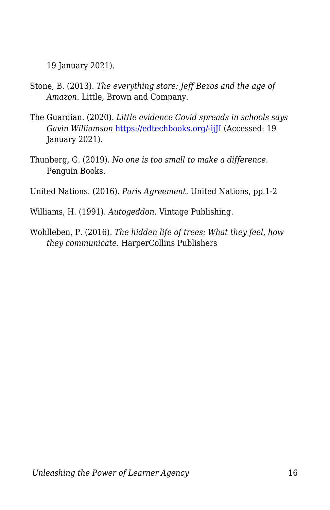19 January 2021).

- Stone, B. (2013). *The everything store: Jeff Bezos and the age of Amazon*. Little, Brown and Company.
- The Guardian. (2020). *Little evidence Covid spreads in schools says Gavin Williamson* [https://edtechbooks.org/-ijJI](https://www.theguardian.com/world/2020/aug/10/little-evidence-covid-spreads-in-schools-says-gavin-williamson) (Accessed: 19 January 2021).
- Thunberg, G. (2019). *No one is too small to make a difference*. Penguin Books.

United Nations. (2016). *Paris Agreement*. United Nations, pp.1-2

- Williams, H. (1991). *Autogeddon*. Vintage Publishing.
- Wohlleben, P. (2016). *The hidden life of trees: What they feel, how they communicate.* HarperCollins Publishers